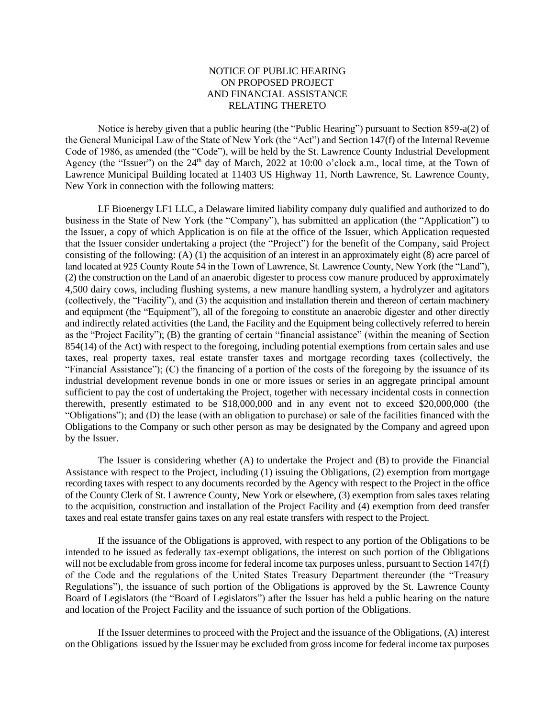## NOTICE OF PUBLIC HEARING ON PROPOSED PROJECT AND FINANCIAL ASSISTANCE RELATING THERETO

Notice is hereby given that a public hearing (the "Public Hearing") pursuant to Section 859-a(2) of the General Municipal Law of the State of New York (the "Act") and Section 147(f) of the Internal Revenue Code of 1986, as amended (the "Code"), will be held by the St. Lawrence County Industrial Development Agency (the "Issuer") on the 24<sup>th</sup> day of March, 2022 at 10:00 o'clock a.m., local time, at the Town of Lawrence Municipal Building located at 11403 US Highway 11, North Lawrence, St. Lawrence County, New York in connection with the following matters:

LF Bioenergy LF1 LLC, a Delaware limited liability company duly qualified and authorized to do business in the State of New York (the "Company"), has submitted an application (the "Application") to the Issuer, a copy of which Application is on file at the office of the Issuer, which Application requested that the Issuer consider undertaking a project (the "Project") for the benefit of the Company, said Project consisting of the following: (A) (1) the acquisition of an interest in an approximately eight (8) acre parcel of land located at 925 County Route 54 in the Town of Lawrence, St. Lawrence County, New York (the "Land"), (2) the construction on the Land of an anaerobic digester to process cow manure produced by approximately 4,500 dairy cows, including flushing systems, a new manure handling system, a hydrolyzer and agitators (collectively, the "Facility"), and (3) the acquisition and installation therein and thereon of certain machinery and equipment (the "Equipment"), all of the foregoing to constitute an anaerobic digester and other directly and indirectly related activities (the Land, the Facility and the Equipment being collectively referred to herein as the "Project Facility"); (B) the granting of certain "financial assistance" (within the meaning of Section 854(14) of the Act) with respect to the foregoing, including potential exemptions from certain sales and use taxes, real property taxes, real estate transfer taxes and mortgage recording taxes (collectively, the "Financial Assistance"); (C) the financing of a portion of the costs of the foregoing by the issuance of its industrial development revenue bonds in one or more issues or series in an aggregate principal amount sufficient to pay the cost of undertaking the Project, together with necessary incidental costs in connection therewith, presently estimated to be \$18,000,000 and in any event not to exceed \$20,000,000 (the "Obligations"); and (D) the lease (with an obligation to purchase) or sale of the facilities financed with the Obligations to the Company or such other person as may be designated by the Company and agreed upon by the Issuer.

The Issuer is considering whether (A) to undertake the Project and (B) to provide the Financial Assistance with respect to the Project, including (1) issuing the Obligations, (2) exemption from mortgage recording taxes with respect to any documents recorded by the Agency with respect to the Project in the office of the County Clerk of St. Lawrence County, New York or elsewhere, (3) exemption from sales taxes relating to the acquisition, construction and installation of the Project Facility and (4) exemption from deed transfer taxes and real estate transfer gains taxes on any real estate transfers with respect to the Project.

If the issuance of the Obligations is approved, with respect to any portion of the Obligations to be intended to be issued as federally tax-exempt obligations, the interest on such portion of the Obligations will not be excludable from gross income for federal income tax purposes unless, pursuant to Section 147(f) of the Code and the regulations of the United States Treasury Department thereunder (the "Treasury Regulations"), the issuance of such portion of the Obligations is approved by the St. Lawrence County Board of Legislators (the "Board of Legislators") after the Issuer has held a public hearing on the nature and location of the Project Facility and the issuance of such portion of the Obligations.

If the Issuer determines to proceed with the Project and the issuance of the Obligations, (A) interest on the Obligations issued by the Issuer may be excluded from gross income for federal income tax purposes